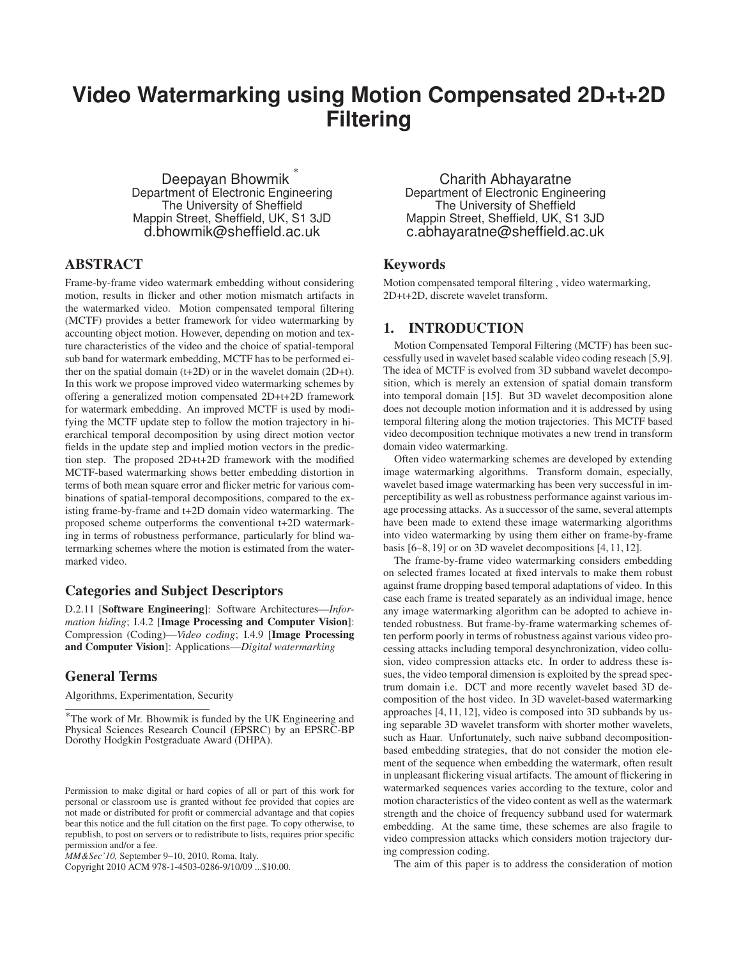# **Video Watermarking using Motion Compensated 2D+t+2D Filtering**

Deepayan Bhowmik ∗ Department of Electronic Engineering The University of Sheffield Mappin Street, Sheffield, UK, S1 3JD d.bhowmik@sheffield.ac.uk

# ABSTRACT

Frame-by-frame video watermark embedding without considering motion, results in flicker and other motion mismatch artifacts in the watermarked video. Motion compensated temporal filtering (MCTF) provides a better framework for video watermarking by accounting object motion. However, depending on motion and texture characteristics of the video and the choice of spatial-temporal sub band for watermark embedding, MCTF has to be performed either on the spatial domain (t+2D) or in the wavelet domain (2D+t). In this work we propose improved video watermarking schemes by offering a generalized motion compensated 2D+t+2D framework for watermark embedding. An improved MCTF is used by modifying the MCTF update step to follow the motion trajectory in hierarchical temporal decomposition by using direct motion vector fields in the update step and implied motion vectors in the prediction step. The proposed 2D+t+2D framework with the modified MCTF-based watermarking shows better embedding distortion in terms of both mean square error and flicker metric for various combinations of spatial-temporal decompositions, compared to the existing frame-by-frame and t+2D domain video watermarking. The proposed scheme outperforms the conventional t+2D watermarking in terms of robustness performance, particularly for blind watermarking schemes where the motion is estimated from the watermarked video.

# Categories and Subject Descriptors

D.2.11 [Software Engineering]: Software Architectures—*Information hiding*; I.4.2 [Image Processing and Computer Vision]: Compression (Coding)—*Video coding*; I.4.9 [Image Processing and Computer Vision]: Applications—*Digital watermarking*

# General Terms

Algorithms, Experimentation, Security

Copyright 2010 ACM 978-1-4503-0286-9/10/09 ...\$10.00.

Charith Abhayaratne Department of Electronic Engineering The University of Sheffield Mappin Street, Sheffield, UK, S1 3JD c.abhayaratne@sheffield.ac.uk

# Keywords

Motion compensated temporal filtering , video watermarking, 2D+t+2D, discrete wavelet transform.

# 1. INTRODUCTION

Motion Compensated Temporal Filtering (MCTF) has been successfully used in wavelet based scalable video coding reseach [5,9]. The idea of MCTF is evolved from 3D subband wavelet decomposition, which is merely an extension of spatial domain transform into temporal domain [15]. But 3D wavelet decomposition alone does not decouple motion information and it is addressed by using temporal filtering along the motion trajectories. This MCTF based video decomposition technique motivates a new trend in transform domain video watermarking.

Often video watermarking schemes are developed by extending image watermarking algorithms. Transform domain, especially, wavelet based image watermarking has been very successful in imperceptibility as well as robustness performance against various image processing attacks. As a successor of the same, several attempts have been made to extend these image watermarking algorithms into video watermarking by using them either on frame-by-frame basis [6–8, 19] or on 3D wavelet decompositions [4, 11, 12].

The frame-by-frame video watermarking considers embedding on selected frames located at fixed intervals to make them robust against frame dropping based temporal adaptations of video. In this case each frame is treated separately as an individual image, hence any image watermarking algorithm can be adopted to achieve intended robustness. But frame-by-frame watermarking schemes often perform poorly in terms of robustness against various video processing attacks including temporal desynchronization, video collusion, video compression attacks etc. In order to address these issues, the video temporal dimension is exploited by the spread spectrum domain i.e. DCT and more recently wavelet based 3D decomposition of the host video. In 3D wavelet-based watermarking approaches [4, 11, 12], video is composed into 3D subbands by using separable 3D wavelet transform with shorter mother wavelets, such as Haar. Unfortunately, such naive subband decompositionbased embedding strategies, that do not consider the motion element of the sequence when embedding the watermark, often result in unpleasant flickering visual artifacts. The amount of flickering in watermarked sequences varies according to the texture, color and motion characteristics of the video content as well as the watermark strength and the choice of frequency subband used for watermark embedding. At the same time, these schemes are also fragile to video compression attacks which considers motion trajectory during compression coding.

The aim of this paper is to address the consideration of motion

<sup>∗</sup>The work of Mr. Bhowmik is funded by the UK Engineering and Physical Sciences Research Council (EPSRC) by an EPSRC-BP Dorothy Hodgkin Postgraduate Award (DHPA).

Permission to make digital or hard copies of all or part of this work for personal or classroom use is granted without fee provided that copies are not made or distributed for profit or commercial advantage and that copies bear this notice and the full citation on the first page. To copy otherwise, to republish, to post on servers or to redistribute to lists, requires prior specific permission and/or a fee.

*MM&Sec'10,* September 9–10, 2010, Roma, Italy.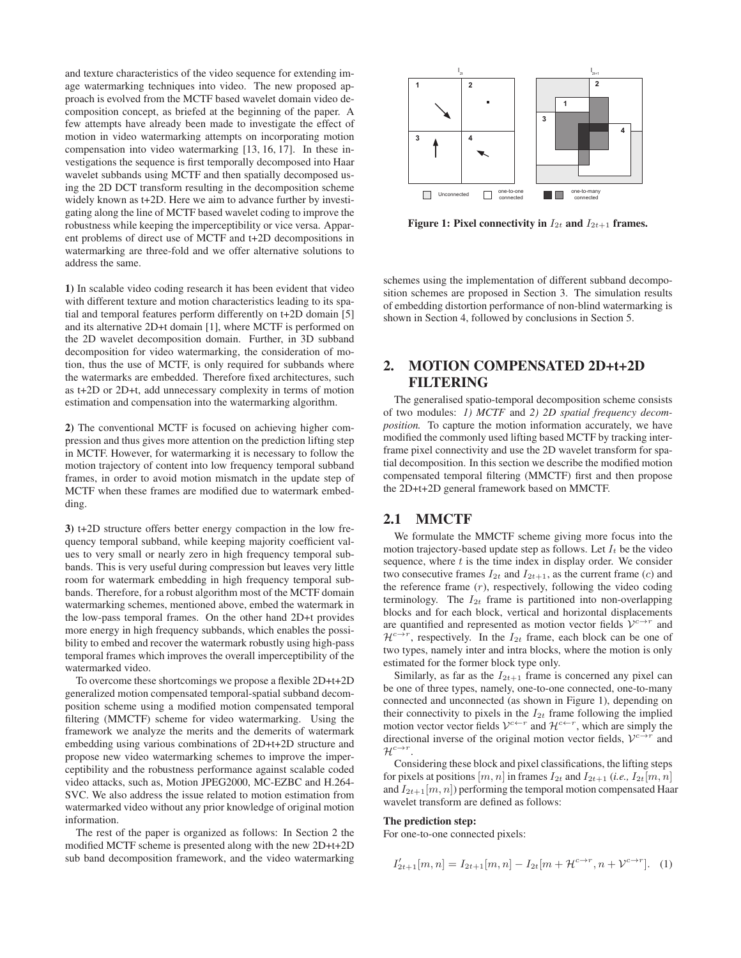and texture characteristics of the video sequence for extending image watermarking techniques into video. The new proposed approach is evolved from the MCTF based wavelet domain video decomposition concept, as briefed at the beginning of the paper. A few attempts have already been made to investigate the effect of motion in video watermarking attempts on incorporating motion compensation into video watermarking [13, 16, 17]. In these investigations the sequence is first temporally decomposed into Haar wavelet subbands using MCTF and then spatially decomposed using the 2D DCT transform resulting in the decomposition scheme widely known as t+2D. Here we aim to advance further by investigating along the line of MCTF based wavelet coding to improve the robustness while keeping the imperceptibility or vice versa. Apparent problems of direct use of MCTF and t+2D decompositions in watermarking are three-fold and we offer alternative solutions to address the same.

1) In scalable video coding research it has been evident that video with different texture and motion characteristics leading to its spatial and temporal features perform differently on t+2D domain [5] and its alternative 2D+t domain [1], where MCTF is performed on the 2D wavelet decomposition domain. Further, in 3D subband decomposition for video watermarking, the consideration of motion, thus the use of MCTF, is only required for subbands where the watermarks are embedded. Therefore fixed architectures, such as t+2D or 2D+t, add unnecessary complexity in terms of motion estimation and compensation into the watermarking algorithm.

2) The conventional MCTF is focused on achieving higher compression and thus gives more attention on the prediction lifting step in MCTF. However, for watermarking it is necessary to follow the motion trajectory of content into low frequency temporal subband frames, in order to avoid motion mismatch in the update step of MCTF when these frames are modified due to watermark embedding.

3) t+2D structure offers better energy compaction in the low frequency temporal subband, while keeping majority coefficient values to very small or nearly zero in high frequency temporal subbands. This is very useful during compression but leaves very little room for watermark embedding in high frequency temporal subbands. Therefore, for a robust algorithm most of the MCTF domain watermarking schemes, mentioned above, embed the watermark in the low-pass temporal frames. On the other hand 2D+t provides more energy in high frequency subbands, which enables the possibility to embed and recover the watermark robustly using high-pass temporal frames which improves the overall imperceptibility of the watermarked video.

To overcome these shortcomings we propose a flexible 2D+t+2D generalized motion compensated temporal-spatial subband decomposition scheme using a modified motion compensated temporal filtering (MMCTF) scheme for video watermarking. Using the framework we analyze the merits and the demerits of watermark embedding using various combinations of 2D+t+2D structure and propose new video watermarking schemes to improve the imperceptibility and the robustness performance against scalable coded video attacks, such as, Motion JPEG2000, MC-EZBC and H.264- SVC. We also address the issue related to motion estimation from watermarked video without any prior knowledge of original motion information.

The rest of the paper is organized as follows: In Section 2 the modified MCTF scheme is presented along with the new 2D+t+2D sub band decomposition framework, and the video watermarking



Figure 1: Pixel connectivity in  $I_{2t}$  and  $I_{2t+1}$  frames.

schemes using the implementation of different subband decomposition schemes are proposed in Section 3. The simulation results of embedding distortion performance of non-blind watermarking is shown in Section 4, followed by conclusions in Section 5.

# 2. MOTION COMPENSATED 2D+t+2D **FILTERING**

The generalised spatio-temporal decomposition scheme consists of two modules: *1) MCTF* and *2) 2D spatial frequency decomposition.* To capture the motion information accurately, we have modified the commonly used lifting based MCTF by tracking interframe pixel connectivity and use the 2D wavelet transform for spatial decomposition. In this section we describe the modified motion compensated temporal filtering (MMCTF) first and then propose the 2D+t+2D general framework based on MMCTF.

# 2.1 MMCTF

We formulate the MMCTF scheme giving more focus into the motion trajectory-based update step as follows. Let  $I_t$  be the video sequence, where  $t$  is the time index in display order. We consider two consecutive frames  $I_{2t}$  and  $I_{2t+1}$ , as the current frame (c) and the reference frame  $(r)$ , respectively, following the video coding terminology. The  $I_{2t}$  frame is partitioned into non-overlapping blocks and for each block, vertical and horizontal displacements are quantified and represented as motion vector fields  $V^{c\rightarrow r}$  and  $\mathcal{H}^{c \to r}$ , respectively. In the  $I_{2t}$  frame, each block can be one of two types, namely inter and intra blocks, where the motion is only estimated for the former block type only.

Similarly, as far as the  $I_{2t+1}$  frame is concerned any pixel can be one of three types, namely, one-to-one connected, one-to-many connected and unconnected (as shown in Figure 1), depending on their connectivity to pixels in the  $I_{2t}$  frame following the implied motion vector vector fields  $V^{c\leftarrow r}$  and  $\mathcal{H}^{c\leftarrow r}$ , which are simply the directional inverse of the original motion vector fields,  $V^{c\rightarrow r}$  and  $\mathcal{H}^{c\rightarrow r}$ .

Considering these block and pixel classifications, the lifting steps for pixels at positions  $[m, n]$  in frames  $I_{2t}$  and  $I_{2t+1}$  (*i.e.*,  $I_{2t}[m, n]$ and  $I_{2t+1}[m, n]$ ) performing the temporal motion compensated Haar wavelet transform are defined as follows:

## The prediction step:

For one-to-one connected pixels:

$$
I'_{2t+1}[m,n] = I_{2t+1}[m,n] - I_{2t}[m + \mathcal{H}^{c \to r}, n + \mathcal{V}^{c \to r}].
$$
 (1)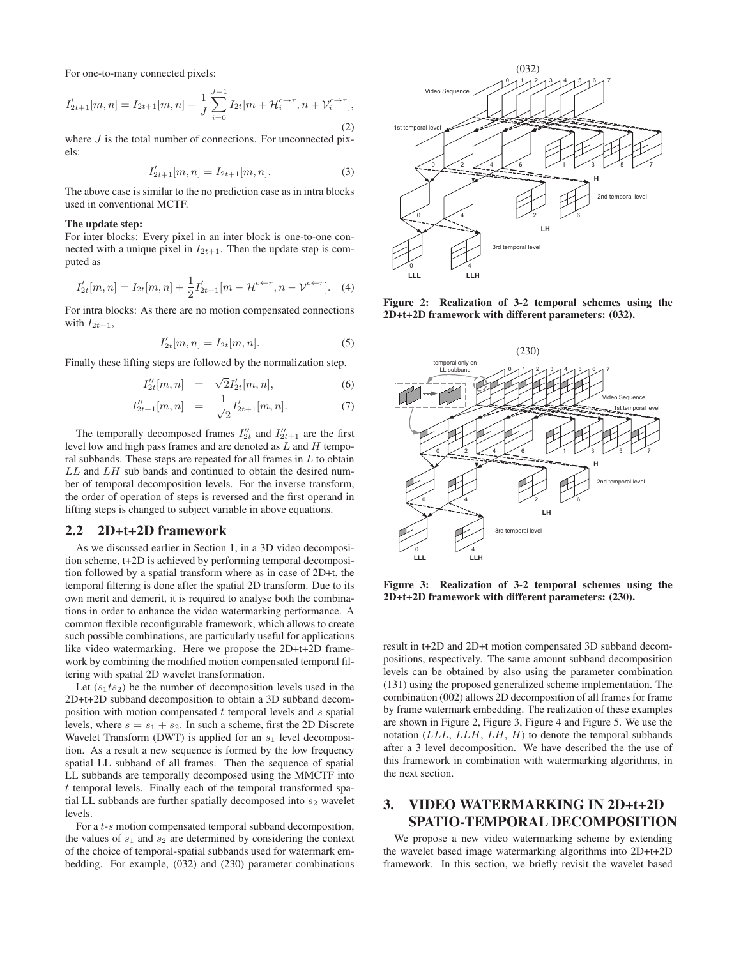For one-to-many connected pixels:

$$
I'_{2t+1}[m,n] = I_{2t+1}[m,n] - \frac{1}{J} \sum_{i=0}^{J-1} I_{2t}[m + \mathcal{H}_i^{c \to r}, n + \mathcal{V}_i^{c \to r}],
$$
\n(2)

where  $J$  is the total number of connections. For unconnected pixels:

$$
I'_{2t+1}[m,n] = I_{2t+1}[m,n].
$$
\n(3)

The above case is similar to the no prediction case as in intra blocks used in conventional MCTF.

#### The update step:

For inter blocks: Every pixel in an inter block is one-to-one connected with a unique pixel in  $I_{2t+1}$ . Then the update step is computed as

$$
I'_{2t}[m,n] = I_{2t}[m,n] + \frac{1}{2}I'_{2t+1}[m - \mathcal{H}^{c \leftarrow r}, n - \mathcal{V}^{c \leftarrow r}].
$$
 (4)

For intra blocks: As there are no motion compensated connections with  $I_{2t+1}$ ,

$$
I'_{2t}[m,n] = I_{2t}[m,n].
$$
\n(5)

Finally these lifting steps are followed by the normalization step.

$$
I_{2t}'[m,n] = \sqrt{2}I_{2t}'[m,n], \tag{6}
$$

$$
I_{2t+1}^{\prime\prime}[m,n] = \frac{1}{\sqrt{2}} I_{2t+1}^{\prime}[m,n]. \tag{7}
$$

The temporally decomposed frames  $I_{2t}^{\prime\prime}$  and  $I_{2t+1}^{\prime\prime}$  are the first level low and high pass frames and are denoted as  $L$  and  $H$  temporal subbands. These steps are repeated for all frames in  $L$  to obtain  $LL$  and  $LH$  sub bands and continued to obtain the desired number of temporal decomposition levels. For the inverse transform, the order of operation of steps is reversed and the first operand in lifting steps is changed to subject variable in above equations.

# 2.2 2D+t+2D framework

As we discussed earlier in Section 1, in a 3D video decomposition scheme, t+2D is achieved by performing temporal decomposition followed by a spatial transform where as in case of 2D+t, the temporal filtering is done after the spatial 2D transform. Due to its own merit and demerit, it is required to analyse both the combinations in order to enhance the video watermarking performance. A common flexible reconfigurable framework, which allows to create such possible combinations, are particularly useful for applications like video watermarking. Here we propose the 2D+t+2D framework by combining the modified motion compensated temporal filtering with spatial 2D wavelet transformation.

Let  $(s_1ts_2)$  be the number of decomposition levels used in the 2D+t+2D subband decomposition to obtain a 3D subband decomposition with motion compensated  $t$  temporal levels and  $s$  spatial levels, where  $s = s_1 + s_2$ . In such a scheme, first the 2D Discrete Wavelet Transform (DWT) is applied for an  $s_1$  level decomposition. As a result a new sequence is formed by the low frequency spatial LL subband of all frames. Then the sequence of spatial LL subbands are temporally decomposed using the MMCTF into t temporal levels. Finally each of the temporal transformed spatial LL subbands are further spatially decomposed into  $s_2$  wavelet levels.

For a t-s motion compensated temporal subband decomposition, the values of  $s_1$  and  $s_2$  are determined by considering the context of the choice of temporal-spatial subbands used for watermark embedding. For example, (032) and (230) parameter combinations



Figure 2: Realization of 3-2 temporal schemes using the 2D+t+2D framework with different parameters: (032).



Figure 3: Realization of 3-2 temporal schemes using the 2D+t+2D framework with different parameters: (230).

result in t+2D and 2D+t motion compensated 3D subband decompositions, respectively. The same amount subband decomposition levels can be obtained by also using the parameter combination (131) using the proposed generalized scheme implementation. The combination (002) allows 2D decomposition of all frames for frame by frame watermark embedding. The realization of these examples are shown in Figure 2, Figure 3, Figure 4 and Figure 5. We use the notation  $(LLL, LLH, LH, H)$  to denote the temporal subbands after a 3 level decomposition. We have described the the use of this framework in combination with watermarking algorithms, in the next section.

# 3. VIDEO WATERMARKING IN 2D+t+2D SPATIO-TEMPORAL DECOMPOSITION

We propose a new video watermarking scheme by extending the wavelet based image watermarking algorithms into 2D+t+2D framework. In this section, we briefly revisit the wavelet based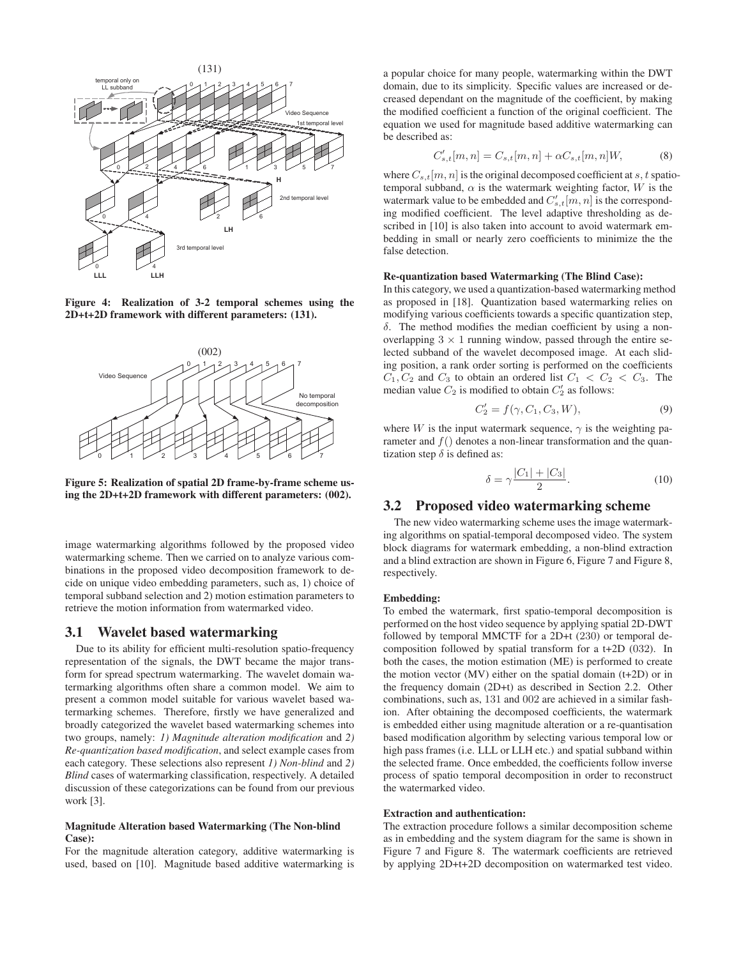

Figure 4: Realization of 3-2 temporal schemes using the 2D+t+2D framework with different parameters: (131).



Figure 5: Realization of spatial 2D frame-by-frame scheme using the 2D+t+2D framework with different parameters: (002).

image watermarking algorithms followed by the proposed video watermarking scheme. Then we carried on to analyze various combinations in the proposed video decomposition framework to decide on unique video embedding parameters, such as, 1) choice of temporal subband selection and 2) motion estimation parameters to retrieve the motion information from watermarked video.

#### 3.1 Wavelet based watermarking

Due to its ability for efficient multi-resolution spatio-frequency representation of the signals, the DWT became the major transform for spread spectrum watermarking. The wavelet domain watermarking algorithms often share a common model. We aim to present a common model suitable for various wavelet based watermarking schemes. Therefore, firstly we have generalized and broadly categorized the wavelet based watermarking schemes into two groups, namely: *1) Magnitude alteration modification* and *2) Re-quantization based modification*, and select example cases from each category. These selections also represent *1) Non-blind* and *2) Blind* cases of watermarking classification, respectively. A detailed discussion of these categorizations can be found from our previous work [3].

#### Magnitude Alteration based Watermarking (The Non-blind Case):

For the magnitude alteration category, additive watermarking is used, based on [10]. Magnitude based additive watermarking is

a popular choice for many people, watermarking within the DWT domain, due to its simplicity. Specific values are increased or decreased dependant on the magnitude of the coefficient, by making the modified coefficient a function of the original coefficient. The equation we used for magnitude based additive watermarking can be described as:

$$
C'_{s,t}[m,n] = C_{s,t}[m,n] + \alpha C_{s,t}[m,n]W,
$$
 (8)

where  $C_{s,t}[m,n]$  is the original decomposed coefficient at s, t spatiotemporal subband,  $\alpha$  is the watermark weighting factor, W is the watermark value to be embedded and  $C'_{s,t}[m,n]$  is the corresponding modified coefficient. The level adaptive thresholding as described in [10] is also taken into account to avoid watermark embedding in small or nearly zero coefficients to minimize the the false detection.

#### Re-quantization based Watermarking (The Blind Case):

In this category, we used a quantization-based watermarking method as proposed in [18]. Quantization based watermarking relies on modifying various coefficients towards a specific quantization step, δ. The method modifies the median coefficient by using a nonoverlapping  $3 \times 1$  running window, passed through the entire selected subband of the wavelet decomposed image. At each sliding position, a rank order sorting is performed on the coefficients  $C_1, C_2$  and  $C_3$  to obtain an ordered list  $C_1 < C_2 < C_3$ . The median value  $C_2$  is modified to obtain  $C_2$  as follows:

$$
C_2' = f(\gamma, C_1, C_3, W), \tag{9}
$$

where W is the input watermark sequence,  $\gamma$  is the weighting parameter and  $f()$  denotes a non-linear transformation and the quantization step  $\delta$  is defined as:

$$
\delta = \gamma \frac{|C_1| + |C_3|}{2}.
$$
 (10)

# 3.2 Proposed video watermarking scheme

The new video watermarking scheme uses the image watermarking algorithms on spatial-temporal decomposed video. The system block diagrams for watermark embedding, a non-blind extraction and a blind extraction are shown in Figure 6, Figure 7 and Figure 8, respectively.

#### Embedding:

To embed the watermark, first spatio-temporal decomposition is performed on the host video sequence by applying spatial 2D-DWT followed by temporal MMCTF for a 2D+t (230) or temporal decomposition followed by spatial transform for a t+2D (032). In both the cases, the motion estimation (ME) is performed to create the motion vector  $(MV)$  either on the spatial domain  $(t+2D)$  or in the frequency domain (2D+t) as described in Section 2.2. Other combinations, such as, 131 and 002 are achieved in a similar fashion. After obtaining the decomposed coefficients, the watermark is embedded either using magnitude alteration or a re-quantisation based modification algorithm by selecting various temporal low or high pass frames (i.e. LLL or LLH etc.) and spatial subband within the selected frame. Once embedded, the coefficients follow inverse process of spatio temporal decomposition in order to reconstruct the watermarked video.

#### Extraction and authentication:

The extraction procedure follows a similar decomposition scheme as in embedding and the system diagram for the same is shown in Figure 7 and Figure 8. The watermark coefficients are retrieved by applying 2D+t+2D decomposition on watermarked test video.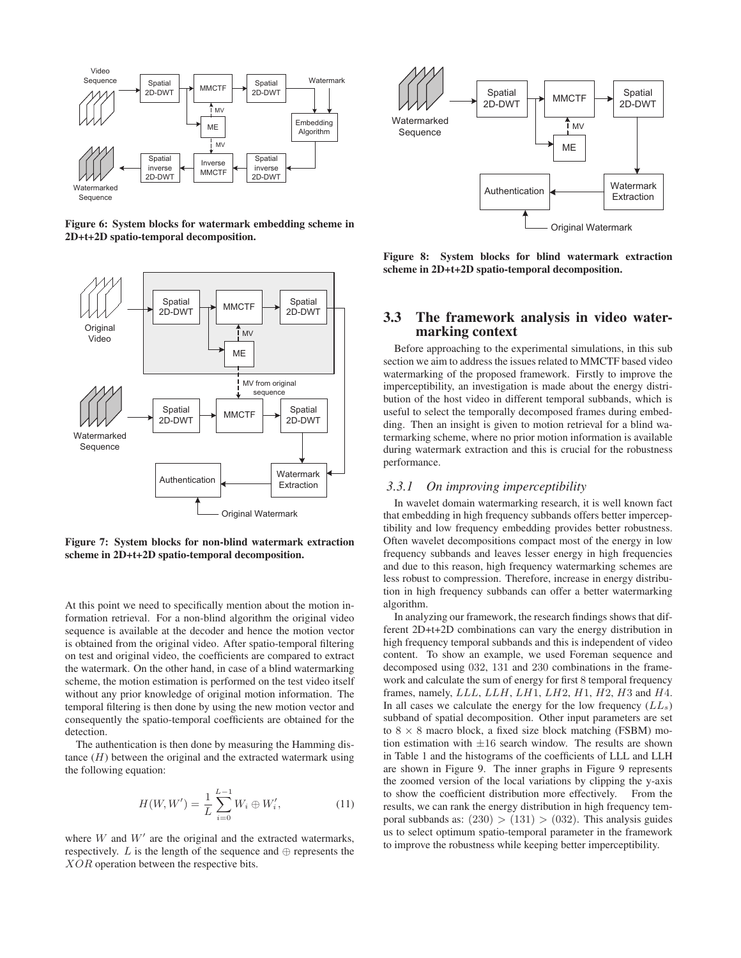

Figure 6: System blocks for watermark embedding scheme in 2D+t+2D spatio-temporal decomposition.



Figure 7: System blocks for non-blind watermark extraction scheme in 2D+t+2D spatio-temporal decomposition.

At this point we need to specifically mention about the motion information retrieval. For a non-blind algorithm the original video sequence is available at the decoder and hence the motion vector is obtained from the original video. After spatio-temporal filtering on test and original video, the coefficients are compared to extract the watermark. On the other hand, in case of a blind watermarking scheme, the motion estimation is performed on the test video itself without any prior knowledge of original motion information. The temporal filtering is then done by using the new motion vector and consequently the spatio-temporal coefficients are obtained for the detection.

The authentication is then done by measuring the Hamming distance  $(H)$  between the original and the extracted watermark using the following equation:

$$
H(W, W') = \frac{1}{L} \sum_{i=0}^{L-1} W_i \oplus W'_i,
$$
 (11)

where  $W$  and  $W'$  are the original and the extracted watermarks, respectively.  $L$  is the length of the sequence and  $\oplus$  represents the XOR operation between the respective bits.



Figure 8: System blocks for blind watermark extraction scheme in 2D+t+2D spatio-temporal decomposition.

# 3.3 The framework analysis in video watermarking context

Before approaching to the experimental simulations, in this sub section we aim to address the issues related to MMCTF based video watermarking of the proposed framework. Firstly to improve the imperceptibility, an investigation is made about the energy distribution of the host video in different temporal subbands, which is useful to select the temporally decomposed frames during embedding. Then an insight is given to motion retrieval for a blind watermarking scheme, where no prior motion information is available during watermark extraction and this is crucial for the robustness performance.

#### *3.3.1 On improving imperceptibility*

In wavelet domain watermarking research, it is well known fact that embedding in high frequency subbands offers better imperceptibility and low frequency embedding provides better robustness. Often wavelet decompositions compact most of the energy in low frequency subbands and leaves lesser energy in high frequencies and due to this reason, high frequency watermarking schemes are less robust to compression. Therefore, increase in energy distribution in high frequency subbands can offer a better watermarking algorithm.

In analyzing our framework, the research findings shows that different 2D+t+2D combinations can vary the energy distribution in high frequency temporal subbands and this is independent of video content. To show an example, we used Foreman sequence and decomposed using 032, 131 and 230 combinations in the framework and calculate the sum of energy for first 8 temporal frequency frames, namely,  $LLL$ ,  $LLH$ ,  $LH1$ ,  $LH2$ ,  $H1$ ,  $H2$ ,  $H3$  and  $H4$ . In all cases we calculate the energy for the low frequency  $(LL<sub>s</sub>)$ subband of spatial decomposition. Other input parameters are set to  $8 \times 8$  macro block, a fixed size block matching (FSBM) motion estimation with  $\pm 16$  search window. The results are shown in Table 1 and the histograms of the coefficients of LLL and LLH are shown in Figure 9. The inner graphs in Figure 9 represents the zoomed version of the local variations by clipping the y-axis to show the coefficient distribution more effectively. From the results, we can rank the energy distribution in high frequency temporal subbands as:  $(230) > (131) > (032)$ . This analysis guides us to select optimum spatio-temporal parameter in the framework to improve the robustness while keeping better imperceptibility.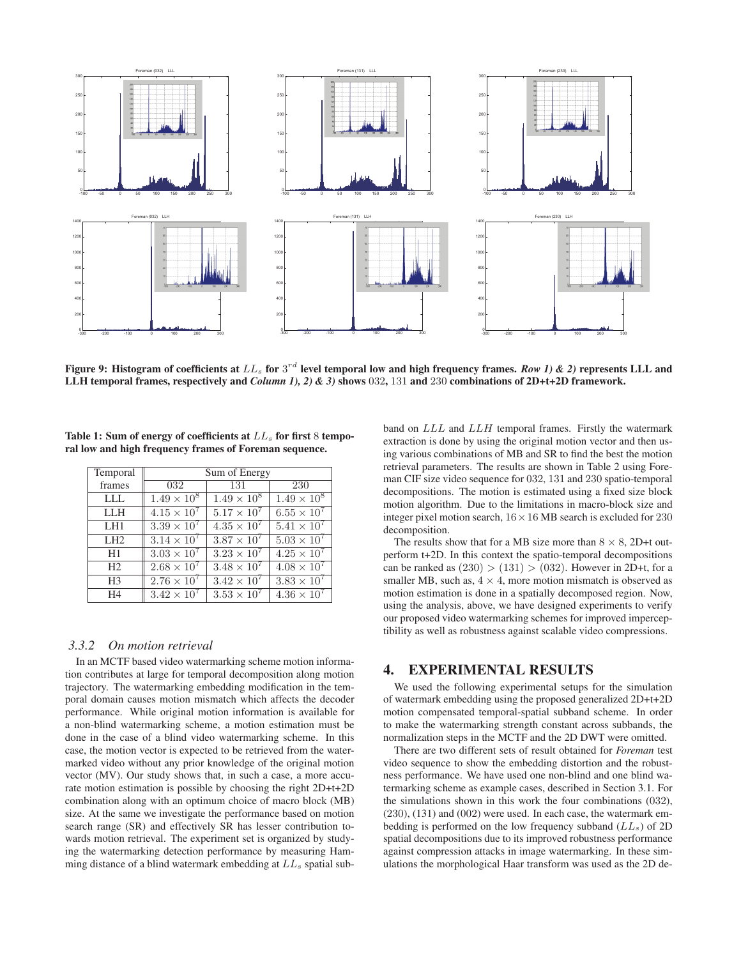

Figure 9: Histogram of coefficients at  $LL_s$  for  $3^{rd}$  level temporal low and high frequency frames. *Row 1) & 2)* represents LLL and LLH temporal frames, respectively and *Column 1), 2) & 3)* shows 032, 131 and 230 combinations of 2D+t+2D framework.

| Temporal        | Sum of Energy        |                      |                      |  |  |  |  |
|-----------------|----------------------|----------------------|----------------------|--|--|--|--|
| frames          | 032                  | 131                  | 230                  |  |  |  |  |
| <b>LLL</b>      | $1.49 \times 10^8$   | $1.49 \times 10^{8}$ | $1.49 \times 10^8$   |  |  |  |  |
| <b>LLH</b>      | $4.15 \times 10^{7}$ | $5.17 \times 10^{7}$ | $6.55 \times 10^{7}$ |  |  |  |  |
| LH <sub>1</sub> | $3.39 \times 10^7$   | $4.35 \times 10^{7}$ | $5.41 \times 10^{7}$ |  |  |  |  |
| LH2             | $3.14 \times 10^{7}$ | $3.87 \times 10^{7}$ | $5.03 \times 10^{7}$ |  |  |  |  |
| H1              | $3.03 \times 10^{7}$ | $3.23 \times 10^{7}$ | $4.25 \times 10^{7}$ |  |  |  |  |
| H <sub>2</sub>  | $2.68 \times 10^{7}$ | $3.48 \times 10^{7}$ | $4.08 \times 10^{7}$ |  |  |  |  |
| H <sub>3</sub>  | $2.76 \times 10^7$   | $3.42 \times 10^{7}$ | $3.83 \times 10^{7}$ |  |  |  |  |
| H <sub>4</sub>  | $3.42 \times 10^{7}$ | $3.53 \times 10^{7}$ | $4.36 \times 10^{7}$ |  |  |  |  |

Table 1: Sum of energy of coefficients at  $LL<sub>s</sub>$  for first 8 temporal low and high frequency frames of Foreman sequence.

## *3.3.2 On motion retrieval*

In an MCTF based video watermarking scheme motion information contributes at large for temporal decomposition along motion trajectory. The watermarking embedding modification in the temporal domain causes motion mismatch which affects the decoder performance. While original motion information is available for a non-blind watermarking scheme, a motion estimation must be done in the case of a blind video watermarking scheme. In this case, the motion vector is expected to be retrieved from the watermarked video without any prior knowledge of the original motion vector (MV). Our study shows that, in such a case, a more accurate motion estimation is possible by choosing the right 2D+t+2D combination along with an optimum choice of macro block (MB) size. At the same we investigate the performance based on motion search range (SR) and effectively SR has lesser contribution towards motion retrieval. The experiment set is organized by studying the watermarking detection performance by measuring Hamming distance of a blind watermark embedding at  $LL_s$  spatial subband on LLL and LLH temporal frames. Firstly the watermark extraction is done by using the original motion vector and then using various combinations of MB and SR to find the best the motion retrieval parameters. The results are shown in Table 2 using Foreman CIF size video sequence for 032, 131 and 230 spatio-temporal decompositions. The motion is estimated using a fixed size block motion algorithm. Due to the limitations in macro-block size and integer pixel motion search,  $16 \times 16$  MB search is excluded for 230 decomposition.

The results show that for a MB size more than  $8 \times 8$ , 2D+t outperform t+2D. In this context the spatio-temporal decompositions can be ranked as  $(230) > (131) > (032)$ . However in 2D+t, for a smaller MB, such as,  $4 \times 4$ , more motion mismatch is observed as motion estimation is done in a spatially decomposed region. Now, using the analysis, above, we have designed experiments to verify our proposed video watermarking schemes for improved imperceptibility as well as robustness against scalable video compressions.

# 4. EXPERIMENTAL RESULTS

We used the following experimental setups for the simulation of watermark embedding using the proposed generalized 2D+t+2D motion compensated temporal-spatial subband scheme. In order to make the watermarking strength constant across subbands, the normalization steps in the MCTF and the 2D DWT were omitted.

There are two different sets of result obtained for *Foreman* test video sequence to show the embedding distortion and the robustness performance. We have used one non-blind and one blind watermarking scheme as example cases, described in Section 3.1. For the simulations shown in this work the four combinations (032), (230), (131) and (002) were used. In each case, the watermark embedding is performed on the low frequency subband  $(LL<sub>s</sub>)$  of 2D spatial decompositions due to its improved robustness performance against compression attacks in image watermarking. In these simulations the morphological Haar transform was used as the 2D de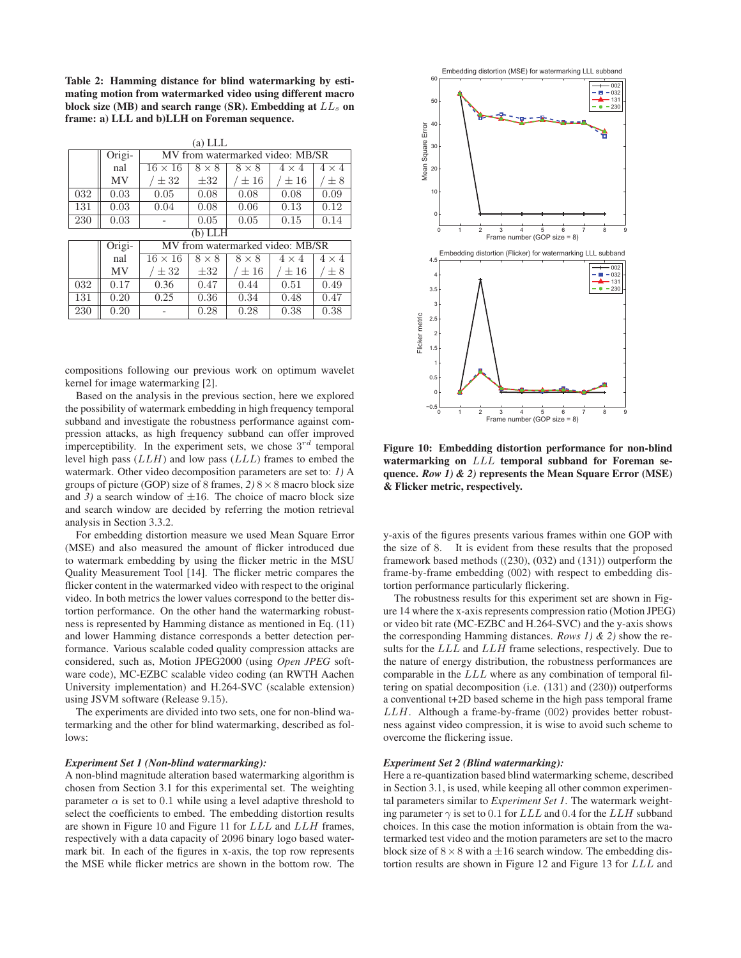Table 2: Hamming distance for blind watermarking by estimating motion from watermarked video using different macro block size (MB) and search range (SR). Embedding at  $LL<sub>s</sub>$  on frame: a) LLL and b)LLH on Foreman sequence.

| (a) LLL   |           |                                  |              |              |              |              |  |  |  |
|-----------|-----------|----------------------------------|--------------|--------------|--------------|--------------|--|--|--|
|           | Origi-    | MV from watermarked video: MB/SR |              |              |              |              |  |  |  |
|           | nal       | $16 \times 16$                   | $8 \times 8$ | $8 \times 8$ | $4 \times 4$ | $4 \times 4$ |  |  |  |
|           | <b>MV</b> | $\pm$ 32                         | $\pm 32$     | $\pm 16$     | $\pm 16$     | $\pm 8$      |  |  |  |
| 032       | 0.03      | 0.05                             | 0.08         | 0.08         | 0.08         | 0.09         |  |  |  |
| 131       | 0.03      | 0.04                             | 0.08         | 0.06         | 0.13         | 0.12         |  |  |  |
| 230       | 0.03      |                                  | 0.05         | 0.05         | 0.15         | 0.14         |  |  |  |
| (b) L L H |           |                                  |              |              |              |              |  |  |  |
|           | Origi-    | MV from watermarked video: MB/SR |              |              |              |              |  |  |  |
|           | nal       | $16 \times 16$                   | $8 \times 8$ | $8 \times 8$ | $4 \times 4$ | $4 \times 4$ |  |  |  |
|           | <b>MV</b> | $\pm$ 32                         | $\pm 32$     | $\pm 16$     | $\pm 16$     | $\pm 8$      |  |  |  |
| 032       | 0.17      | 0.36                             | 0.47         | 0.44         | 0.51         | 0.49         |  |  |  |
| 131       | 0.20      | 0.25                             | 0.36         | 0.34         | 0.48         | 0.47         |  |  |  |
| 230       | 0.20      |                                  | 0.28         | 0.28         | 0.38         | 0.38         |  |  |  |

compositions following our previous work on optimum wavelet kernel for image watermarking [2].

Based on the analysis in the previous section, here we explored the possibility of watermark embedding in high frequency temporal subband and investigate the robustness performance against compression attacks, as high frequency subband can offer improved imperceptibility. In the experiment sets, we chose  $3^{rd}$  temporal level high pass (LLH) and low pass (LLL) frames to embed the watermark. Other video decomposition parameters are set to: *1)* A groups of picture (GOP) size of 8 frames,  $2)$  8  $\times$  8 macro block size and 3) a search window of  $\pm 16$ . The choice of macro block size and search window are decided by referring the motion retrieval analysis in Section 3.3.2.

For embedding distortion measure we used Mean Square Error (MSE) and also measured the amount of flicker introduced due to watermark embedding by using the flicker metric in the MSU Quality Measurement Tool [14]. The flicker metric compares the flicker content in the watermarked video with respect to the original video. In both metrics the lower values correspond to the better distortion performance. On the other hand the watermarking robustness is represented by Hamming distance as mentioned in Eq. (11) and lower Hamming distance corresponds a better detection performance. Various scalable coded quality compression attacks are considered, such as, Motion JPEG2000 (using *Open JPEG* software code), MC-EZBC scalable video coding (an RWTH Aachen University implementation) and H.264-SVC (scalable extension) using JSVM software (Release 9.15).

The experiments are divided into two sets, one for non-blind watermarking and the other for blind watermarking, described as follows:

#### *Experiment Set 1 (Non-blind watermarking):*

A non-blind magnitude alteration based watermarking algorithm is chosen from Section 3.1 for this experimental set. The weighting parameter  $\alpha$  is set to 0.1 while using a level adaptive threshold to select the coefficients to embed. The embedding distortion results are shown in Figure 10 and Figure 11 for LLL and LLH frames, respectively with a data capacity of 2096 binary logo based watermark bit. In each of the figures in x-axis, the top row represents the MSE while flicker metrics are shown in the bottom row. The



Figure 10: Embedding distortion performance for non-blind watermarking on LLL temporal subband for Foreman sequence. *Row 1) & 2)* represents the Mean Square Error (MSE) & Flicker metric, respectively.

y-axis of the figures presents various frames within one GOP with the size of 8. It is evident from these results that the proposed framework based methods ((230), (032) and (131)) outperform the frame-by-frame embedding (002) with respect to embedding distortion performance particularly flickering.

The robustness results for this experiment set are shown in Figure 14 where the x-axis represents compression ratio (Motion JPEG) or video bit rate (MC-EZBC and H.264-SVC) and the y-axis shows the corresponding Hamming distances. *Rows 1) & 2)* show the results for the LLL and LLH frame selections, respectively. Due to the nature of energy distribution, the robustness performances are comparable in the LLL where as any combination of temporal filtering on spatial decomposition (i.e. (131) and (230)) outperforms a conventional t+2D based scheme in the high pass temporal frame LLH. Although a frame-by-frame (002) provides better robustness against video compression, it is wise to avoid such scheme to overcome the flickering issue.

#### *Experiment Set 2 (Blind watermarking):*

Here a re-quantization based blind watermarking scheme, described in Section 3.1, is used, while keeping all other common experimental parameters similar to *Experiment Set 1*. The watermark weighting parameter  $\gamma$  is set to 0.1 for LLL and 0.4 for the LLH subband choices. In this case the motion information is obtain from the watermarked test video and the motion parameters are set to the macro block size of  $8 \times 8$  with a  $\pm 16$  search window. The embedding distortion results are shown in Figure 12 and Figure 13 for LLL and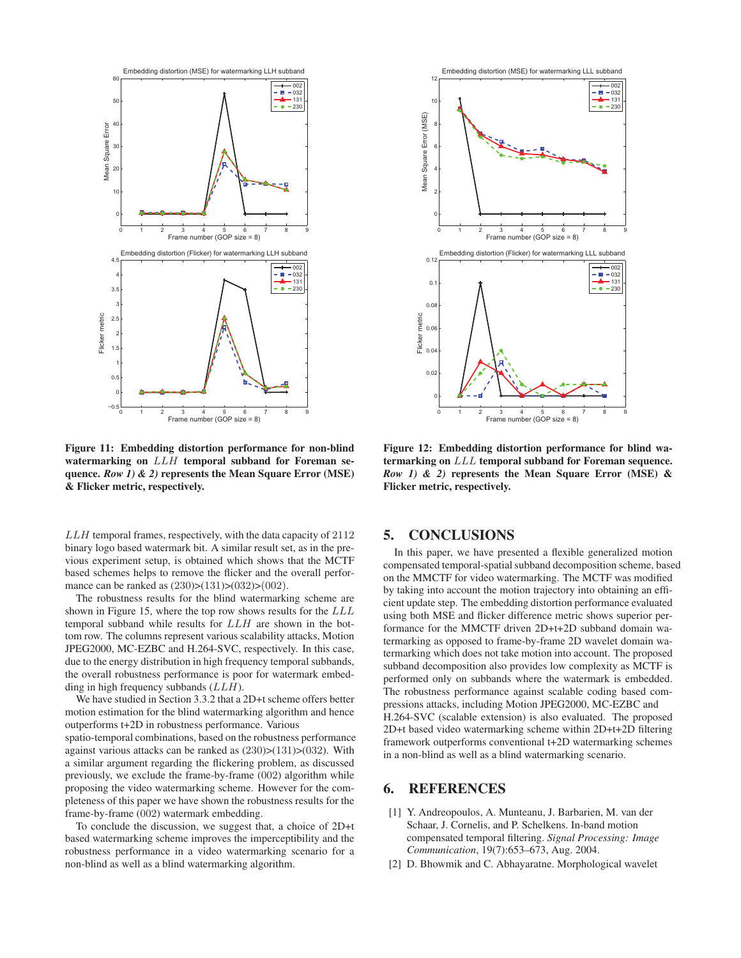

Figure 11: Embedding distortion performance for non-blind watermarking on  $LLH$  temporal subband for Foreman sequence. *Row 1) & 2)* represents the Mean Square Error (MSE) & Flicker metric, respectively.

LLH temporal frames, respectively, with the data capacity of 2112 binary logo based watermark bit. A similar result set, as in the previous experiment setup, is obtained which shows that the MCTF based schemes helps to remove the flicker and the overall performance can be ranked as  $(230)>(131)>(032)>(002)$ .

The robustness results for the blind watermarking scheme are shown in Figure 15, where the top row shows results for the LLL temporal subband while results for LLH are shown in the bottom row. The columns represent various scalability attacks, Motion JPEG2000, MC-EZBC and H.264-SVC, respectively. In this case, due to the energy distribution in high frequency temporal subbands, the overall robustness performance is poor for watermark embedding in high frequency subbands  $(LLH)$ .

We have studied in Section 3.3.2 that a 2D+t scheme offers better motion estimation for the blind watermarking algorithm and hence outperforms t+2D in robustness performance. Various spatio-temporal combinations, based on the robustness performance against various attacks can be ranked as  $(230)>(131)>(032)$ . With a similar argument regarding the flickering problem, as discussed previously, we exclude the frame-by-frame (002) algorithm while proposing the video watermarking scheme. However for the completeness of this paper we have shown the robustness results for the frame-by-frame (002) watermark embedding.

To conclude the discussion, we suggest that, a choice of 2D+t based watermarking scheme improves the imperceptibility and the robustness performance in a video watermarking scenario for a non-blind as well as a blind watermarking algorithm.



Figure 12: Embedding distortion performance for blind watermarking on LLL temporal subband for Foreman sequence. *Row 1) & 2)* represents the Mean Square Error (MSE) & Flicker metric, respectively.

# 5. CONCLUSIONS

In this paper, we have presented a flexible generalized motion compensated temporal-spatial subband decomposition scheme, based on the MMCTF for video watermarking. The MCTF was modified by taking into account the motion trajectory into obtaining an efficient update step. The embedding distortion performance evaluated using both MSE and flicker difference metric shows superior performance for the MMCTF driven 2D+t+2D subband domain watermarking as opposed to frame-by-frame 2D wavelet domain watermarking which does not take motion into account. The proposed subband decomposition also provides low complexity as MCTF is performed only on subbands where the watermark is embedded. The robustness performance against scalable coding based compressions attacks, including Motion JPEG2000, MC-EZBC and H.264-SVC (scalable extension) is also evaluated. The proposed 2D+t based video watermarking scheme within 2D+t+2D filtering framework outperforms conventional t+2D watermarking schemes in a non-blind as well as a blind watermarking scenario.

# 6. REFERENCES

- [1] Y. Andreopoulos, A. Munteanu, J. Barbarien, M. van der Schaar, J. Cornelis, and P. Schelkens. In-band motion compensated temporal filtering. *Signal Processing: Image Communication*, 19(7):653–673, Aug. 2004.
- [2] D. Bhowmik and C. Abhayaratne. Morphological wavelet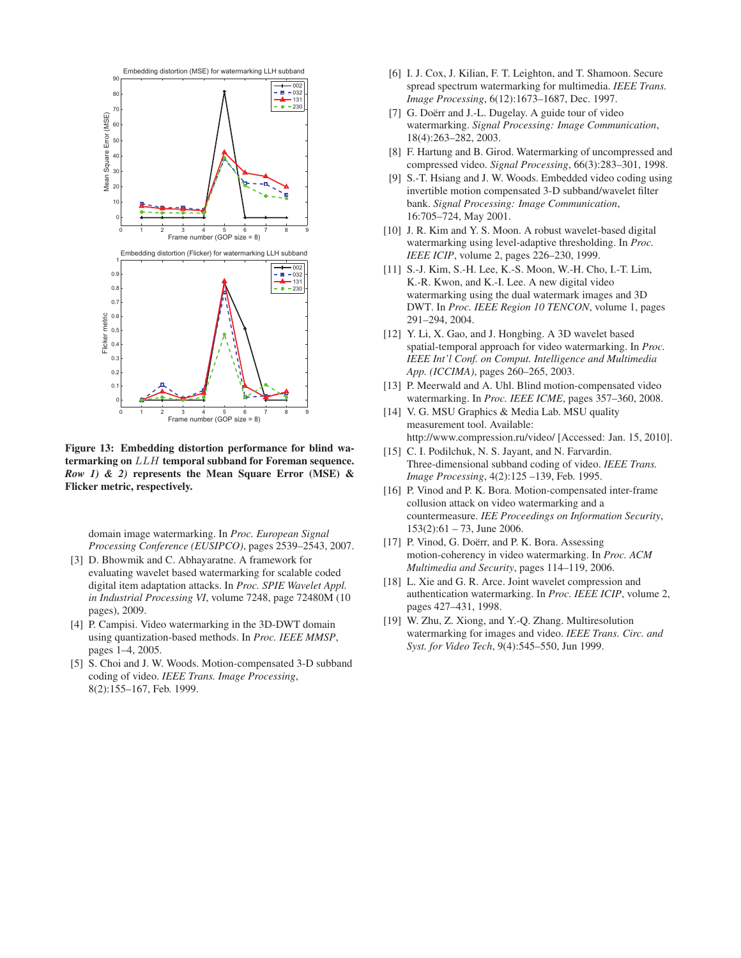

Figure 13: Embedding distortion performance for blind watermarking on LLH temporal subband for Foreman sequence. *Row 1) & 2)* represents the Mean Square Error (MSE) & Flicker metric, respectively.

domain image watermarking. In *Proc. European Signal Processing Conference (EUSIPCO)*, pages 2539–2543, 2007.

- [3] D. Bhowmik and C. Abhayaratne. A framework for evaluating wavelet based watermarking for scalable coded digital item adaptation attacks. In *Proc. SPIE Wavelet Appl. in Industrial Processing VI*, volume 7248, page 72480M (10 pages), 2009.
- [4] P. Campisi. Video watermarking in the 3D-DWT domain using quantization-based methods. In *Proc. IEEE MMSP*, pages 1–4, 2005.
- [5] S. Choi and J. W. Woods. Motion-compensated 3-D subband coding of video. *IEEE Trans. Image Processing*, 8(2):155–167, Feb. 1999.
- [6] I. J. Cox, J. Kilian, F. T. Leighton, and T. Shamoon. Secure spread spectrum watermarking for multimedia. *IEEE Trans. Image Processing*, 6(12):1673–1687, Dec. 1997.
- [7] G. Doërr and J.-L. Dugelay. A guide tour of video watermarking. *Signal Processing: Image Communication*, 18(4):263–282, 2003.
- [8] F. Hartung and B. Girod. Watermarking of uncompressed and compressed video. *Signal Processing*, 66(3):283–301, 1998.
- [9] S.-T. Hsiang and J. W. Woods. Embedded video coding using invertible motion compensated 3-D subband/wavelet filter bank. *Signal Processing: Image Communication*, 16:705–724, May 2001.
- [10] J. R. Kim and Y. S. Moon. A robust wavelet-based digital watermarking using level-adaptive thresholding. In *Proc. IEEE ICIP*, volume 2, pages 226–230, 1999.
- [11] S.-J. Kim, S.-H. Lee, K.-S. Moon, W.-H. Cho, I.-T. Lim, K.-R. Kwon, and K.-I. Lee. A new digital video watermarking using the dual watermark images and 3D DWT. In *Proc. IEEE Region 10 TENCON*, volume 1, pages 291–294, 2004.
- [12] Y. Li, X. Gao, and J. Hongbing. A 3D wavelet based spatial-temporal approach for video watermarking. In *Proc. IEEE Int'l Conf. on Comput. Intelligence and Multimedia App. (ICCIMA)*, pages 260–265, 2003.
- [13] P. Meerwald and A. Uhl. Blind motion-compensated video watermarking. In *Proc. IEEE ICME*, pages 357–360, 2008.
- [14] V. G. MSU Graphics & Media Lab. MSU quality measurement tool. Available: http://www.compression.ru/video/ [Accessed: Jan. 15, 2010].
- [15] C. I. Podilchuk, N. S. Jayant, and N. Farvardin. Three-dimensional subband coding of video. *IEEE Trans. Image Processing*, 4(2):125 –139, Feb. 1995.
- [16] P. Vinod and P. K. Bora. Motion-compensated inter-frame collusion attack on video watermarking and a countermeasure. *IEE Proceedings on Information Security*,  $153(2):61 - 73$ , June 2006.
- [17] P. Vinod, G. Doërr, and P. K. Bora. Assessing motion-coherency in video watermarking. In *Proc. ACM Multimedia and Security*, pages 114–119, 2006.
- [18] L. Xie and G. R. Arce. Joint wavelet compression and authentication watermarking. In *Proc. IEEE ICIP*, volume 2, pages 427–431, 1998.
- [19] W. Zhu, Z. Xiong, and Y.-Q. Zhang. Multiresolution watermarking for images and video. *IEEE Trans. Circ. and Syst. for Video Tech*, 9(4):545–550, Jun 1999.